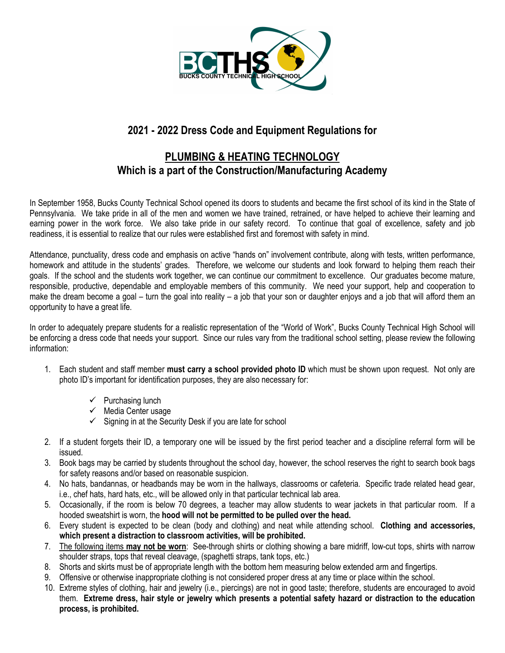

# **2021 - 2022 Dress Code and Equipment Regulations for**

## **PLUMBING & HEATING TECHNOLOGY Which is a part of the Construction/Manufacturing Academy**

In September 1958, Bucks County Technical School opened its doors to students and became the first school of its kind in the State of Pennsylvania. We take pride in all of the men and women we have trained, retrained, or have helped to achieve their learning and earning power in the work force. We also take pride in our safety record. To continue that goal of excellence, safety and job readiness, it is essential to realize that our rules were established first and foremost with safety in mind.

Attendance, punctuality, dress code and emphasis on active "hands on" involvement contribute, along with tests, written performance, homework and attitude in the students' grades. Therefore, we welcome our students and look forward to helping them reach their goals. If the school and the students work together, we can continue our commitment to excellence. Our graduates become mature, responsible, productive, dependable and employable members of this community. We need your support, help and cooperation to make the dream become a goal – turn the goal into reality – a job that your son or daughter enjoys and a job that will afford them an opportunity to have a great life.

In order to adequately prepare students for a realistic representation of the "World of Work", Bucks County Technical High School will be enforcing a dress code that needs your support. Since our rules vary from the traditional school setting, please review the following information:

- 1. Each student and staff member **must carry a school provided photo ID** which must be shown upon request. Not only are photo ID's important for identification purposes, they are also necessary for:
	- $\checkmark$  Purchasing lunch
	- $\checkmark$  Media Center usage
	- $\checkmark$  Signing in at the Security Desk if you are late for school
- 2. If a student forgets their ID, a temporary one will be issued by the first period teacher and a discipline referral form will be issued.
- 3. Book bags may be carried by students throughout the school day, however, the school reserves the right to search book bags for safety reasons and/or based on reasonable suspicion.
- 4. No hats, bandannas, or headbands may be worn in the hallways, classrooms or cafeteria. Specific trade related head gear, i.e., chef hats, hard hats, etc., will be allowed only in that particular technical lab area.
- 5. Occasionally, if the room is below 70 degrees, a teacher may allow students to wear jackets in that particular room. If a hooded sweatshirt is worn, the **hood will not be permitted to be pulled over the head.**
- 6. Every student is expected to be clean (body and clothing) and neat while attending school. **Clothing and accessories, which present a distraction to classroom activities, will be prohibited.**
- 7. The following items **may not be worn**: See-through shirts or clothing showing a bare midriff, low-cut tops, shirts with narrow shoulder straps, tops that reveal cleavage, (spaghetti straps, tank tops, etc.)
- 8. Shorts and skirts must be of appropriate length with the bottom hem measuring below extended arm and fingertips.
- 9. Offensive or otherwise inappropriate clothing is not considered proper dress at any time or place within the school.
- 10. Extreme styles of clothing, hair and jewelry (i.e., piercings) are not in good taste; therefore, students are encouraged to avoid them. **Extreme dress, hair style or jewelry which presents a potential safety hazard or distraction to the education process, is prohibited.**